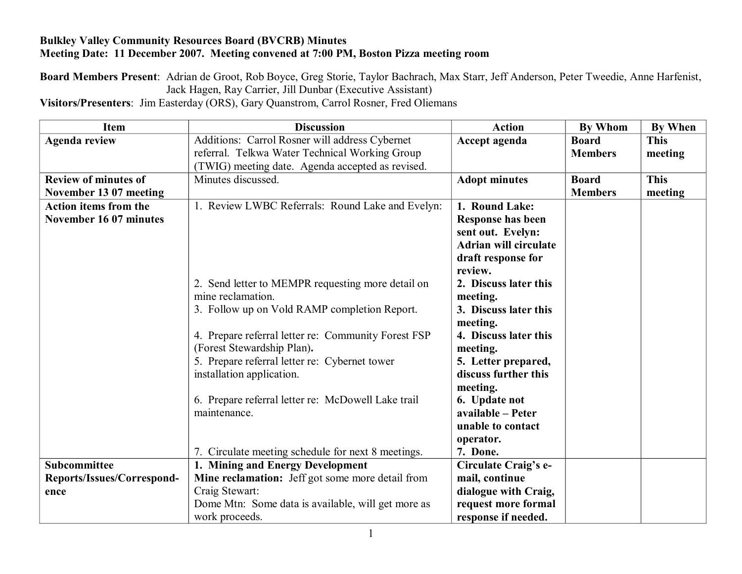## **Bulkley Valley Community Resources Board (BVCRB) Minutes Meeting Date: 11 December 2007. Meeting convened at 7:00 PM, Boston Pizza meeting room**

**Board Members Present**: Adrian de Groot, Rob Boyce, Greg Storie, Taylor Bachrach, Max Starr, Jeff Anderson, Peter Tweedie, Anne Harfenist, Jack Hagen, Ray Carrier, Jill Dunbar (Executive Assistant)

**Visitors/Presenters**: Jim Easterday (ORS), Gary Quanstrom, Carrol Rosner, Fred Oliemans

| <b>Item</b>                  | <b>Discussion</b>                                   | <b>Action</b>                | <b>By Whom</b> | <b>By When</b> |
|------------------------------|-----------------------------------------------------|------------------------------|----------------|----------------|
| <b>Agenda review</b>         | Additions: Carrol Rosner will address Cybernet      | Accept agenda                | <b>Board</b>   | <b>This</b>    |
|                              | referral. Telkwa Water Technical Working Group      |                              | <b>Members</b> | meeting        |
|                              | (TWIG) meeting date. Agenda accepted as revised.    |                              |                |                |
| <b>Review of minutes of</b>  | Minutes discussed.                                  | <b>Adopt minutes</b>         | <b>Board</b>   | <b>This</b>    |
| November 13 07 meeting       |                                                     |                              | <b>Members</b> | meeting        |
| <b>Action items from the</b> | 1. Review LWBC Referrals: Round Lake and Evelyn:    | 1. Round Lake:               |                |                |
| November 16 07 minutes       |                                                     | <b>Response has been</b>     |                |                |
|                              |                                                     | sent out. Evelyn:            |                |                |
|                              |                                                     | <b>Adrian will circulate</b> |                |                |
|                              |                                                     | draft response for           |                |                |
|                              |                                                     | review.                      |                |                |
|                              | 2. Send letter to MEMPR requesting more detail on   | 2. Discuss later this        |                |                |
|                              | mine reclamation.                                   | meeting.                     |                |                |
|                              | 3. Follow up on Vold RAMP completion Report.        | 3. Discuss later this        |                |                |
|                              |                                                     | meeting.                     |                |                |
|                              | 4. Prepare referral letter re: Community Forest FSP | 4. Discuss later this        |                |                |
|                              | (Forest Stewardship Plan).                          | meeting.                     |                |                |
|                              | 5. Prepare referral letter re: Cybernet tower       | 5. Letter prepared,          |                |                |
|                              | installation application.                           | discuss further this         |                |                |
|                              |                                                     | meeting.                     |                |                |
|                              | 6. Prepare referral letter re: McDowell Lake trail  | 6. Update not                |                |                |
|                              | maintenance.                                        | available - Peter            |                |                |
|                              |                                                     | unable to contact            |                |                |
|                              |                                                     | operator.                    |                |                |
|                              | 7. Circulate meeting schedule for next 8 meetings.  | 7. Done.                     |                |                |
| <b>Subcommittee</b>          | 1. Mining and Energy Development                    | Circulate Craig's e-         |                |                |
| Reports/Issues/Correspond-   | Mine reclamation: Jeff got some more detail from    | mail, continue               |                |                |
| ence                         | Craig Stewart:                                      | dialogue with Craig,         |                |                |
|                              | Dome Mtn: Some data is available, will get more as  | request more formal          |                |                |
|                              | work proceeds.                                      | response if needed.          |                |                |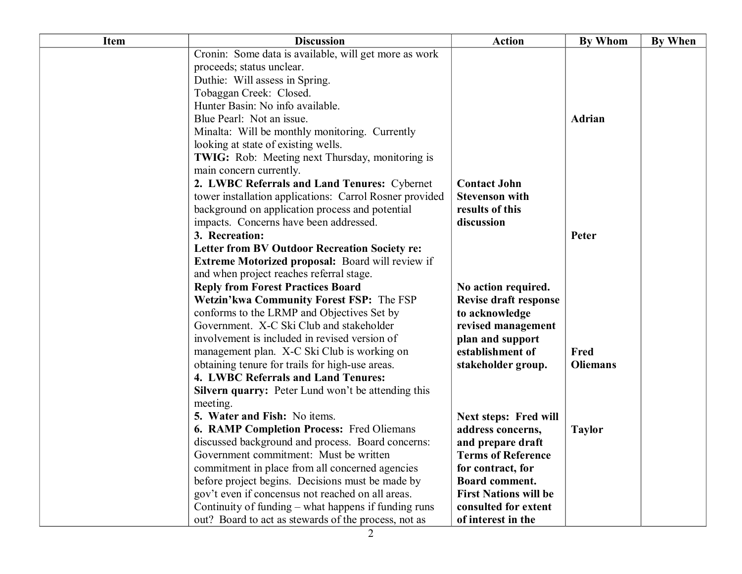| <b>Item</b> | <b>Discussion</b>                                         | <b>Action</b>                | <b>By Whom</b>  | <b>By When</b> |
|-------------|-----------------------------------------------------------|------------------------------|-----------------|----------------|
|             | Cronin: Some data is available, will get more as work     |                              |                 |                |
|             | proceeds; status unclear.                                 |                              |                 |                |
|             | Duthie: Will assess in Spring.                            |                              |                 |                |
|             | Tobaggan Creek: Closed.                                   |                              |                 |                |
|             | Hunter Basin: No info available.                          |                              |                 |                |
|             | Blue Pearl: Not an issue.                                 |                              | Adrian          |                |
|             | Minalta: Will be monthly monitoring. Currently            |                              |                 |                |
|             | looking at state of existing wells.                       |                              |                 |                |
|             | <b>TWIG:</b> Rob: Meeting next Thursday, monitoring is    |                              |                 |                |
|             | main concern currently.                                   |                              |                 |                |
|             | 2. LWBC Referrals and Land Tenures: Cybernet              | <b>Contact John</b>          |                 |                |
|             | tower installation applications: Carrol Rosner provided   | <b>Stevenson with</b>        |                 |                |
|             | background on application process and potential           | results of this              |                 |                |
|             | impacts. Concerns have been addressed.                    | discussion                   |                 |                |
|             | 3. Recreation:                                            |                              | Peter           |                |
|             | <b>Letter from BV Outdoor Recreation Society re:</b>      |                              |                 |                |
|             | <b>Extreme Motorized proposal:</b> Board will review if   |                              |                 |                |
|             | and when project reaches referral stage.                  |                              |                 |                |
|             | <b>Reply from Forest Practices Board</b>                  | No action required.          |                 |                |
|             | Wetzin'kwa Community Forest FSP: The FSP                  | <b>Revise draft response</b> |                 |                |
|             | conforms to the LRMP and Objectives Set by                | to acknowledge               |                 |                |
|             | Government. X-C Ski Club and stakeholder                  | revised management           |                 |                |
|             | involvement is included in revised version of             | plan and support             |                 |                |
|             | management plan. X-C Ski Club is working on               | establishment of             | Fred            |                |
|             | obtaining tenure for trails for high-use areas.           | stakeholder group.           | <b>Oliemans</b> |                |
|             | 4. LWBC Referrals and Land Tenures:                       |                              |                 |                |
|             | <b>Silvern quarry:</b> Peter Lund won't be attending this |                              |                 |                |
|             | meeting.                                                  |                              |                 |                |
|             | 5. Water and Fish: No items.                              | <b>Next steps: Fred will</b> |                 |                |
|             | <b>6. RAMP Completion Process: Fred Oliemans</b>          | address concerns,            | <b>Taylor</b>   |                |
|             | discussed background and process. Board concerns:         | and prepare draft            |                 |                |
|             | Government commitment: Must be written                    | Terms of Reference           |                 |                |
|             | commitment in place from all concerned agencies           | for contract, for            |                 |                |
|             | before project begins. Decisions must be made by          | Board comment.               |                 |                |
|             | gov't even if concensus not reached on all areas.         | <b>First Nations will be</b> |                 |                |
|             | Continuity of funding – what happens if funding runs      | consulted for extent         |                 |                |
|             | out? Board to act as stewards of the process, not as      | of interest in the           |                 |                |